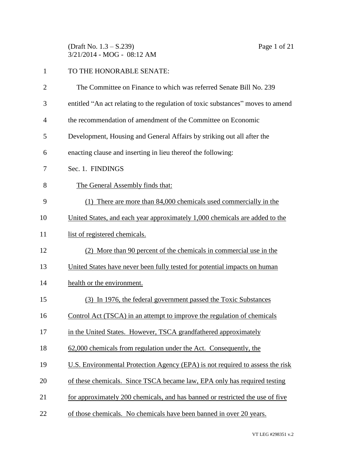(Draft No. 1.3 – S.239) Page 1 of 21 3/21/2014 - MOG - 08:12 AM

## TO THE HONORABLE SENATE: The Committee on Finance to which was referred Senate Bill No. 239

- entitled "An act relating to the regulation of toxic substances" moves to amend
- the recommendation of amendment of the Committee on Economic
- Development, Housing and General Affairs by striking out all after the
- enacting clause and inserting in lieu thereof the following:
- Sec. 1. FINDINGS
- The General Assembly finds that:
- (1) There are more than 84,000 chemicals used commercially in the
- United States, and each year approximately 1,000 chemicals are added to the
- 11 list of registered chemicals.
- (2) More than 90 percent of the chemicals in commercial use in the
- United States have never been fully tested for potential impacts on human
- health or the environment.
- (3) In 1976, the federal government passed the Toxic Substances
- Control Act (TSCA) in an attempt to improve the regulation of chemicals
- in the United States. However, TSCA grandfathered approximately
- 62,000 chemicals from regulation under the Act. Consequently, the
- U.S. Environmental Protection Agency (EPA) is not required to assess the risk
- of these chemicals. Since TSCA became law, EPA only has required testing
- for approximately 200 chemicals, and has banned or restricted the use of five
- of those chemicals. No chemicals have been banned in over 20 years.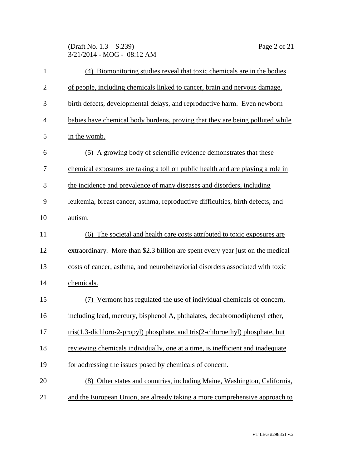(Draft No. 1.3 – S.239) Page 2 of 21 3/21/2014 - MOG - 08:12 AM

| $\mathbf{1}$   | (4) Biomonitoring studies reveal that toxic chemicals are in the bodies         |
|----------------|---------------------------------------------------------------------------------|
| $\overline{2}$ | of people, including chemicals linked to cancer, brain and nervous damage,      |
| 3              | birth defects, developmental delays, and reproductive harm. Even newborn        |
| 4              | babies have chemical body burdens, proving that they are being polluted while   |
| 5              | in the womb.                                                                    |
| 6              | (5) A growing body of scientific evidence demonstrates that these               |
| 7              | chemical exposures are taking a toll on public health and are playing a role in |
| 8              | the incidence and prevalence of many diseases and disorders, including          |
| 9              | leukemia, breast cancer, asthma, reproductive difficulties, birth defects, and  |
| 10             | autism.                                                                         |
| 11             | (6) The societal and health care costs attributed to toxic exposures are        |
| 12             | extraordinary. More than \$2.3 billion are spent every year just on the medical |
| 13             | costs of cancer, asthma, and neurobehaviorial disorders associated with toxic   |
| 14             | chemicals.                                                                      |
| 15             | Vermont has regulated the use of individual chemicals of concern,               |
| 16             | including lead, mercury, bisphenol A, phthalates, decabromodiphenyl ether,      |
| 17             | tris(1,3-dichloro-2-propyl) phosphate, and tris(2-chloroethyl) phosphate, but   |
| 18             | reviewing chemicals individually, one at a time, is inefficient and inadequate  |
| 19             | for addressing the issues posed by chemicals of concern.                        |
| 20             | (8) Other states and countries, including Maine, Washington, California,        |
| 21             | and the European Union, are already taking a more comprehensive approach to     |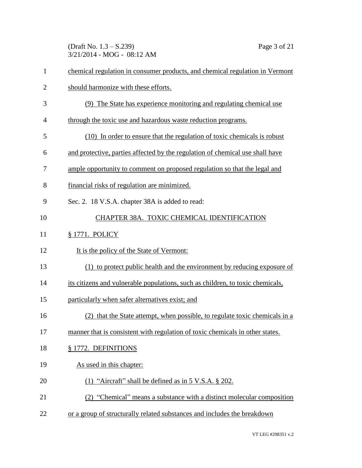(Draft No. 1.3 – S.239) Page 3 of 21 3/21/2014 - MOG - 08:12 AM

| 1              | chemical regulation in consumer products, and chemical regulation in Vermont   |
|----------------|--------------------------------------------------------------------------------|
| $\overline{2}$ | should harmonize with these efforts.                                           |
| 3              | (9) The State has experience monitoring and regulating chemical use            |
| $\overline{4}$ | through the toxic use and hazardous waste reduction programs.                  |
| 5              | (10) In order to ensure that the regulation of toxic chemicals is robust       |
| 6              | and protective, parties affected by the regulation of chemical use shall have  |
| 7              | ample opportunity to comment on proposed regulation so that the legal and      |
| 8              | financial risks of regulation are minimized.                                   |
| 9              | Sec. 2. 18 V.S.A. chapter 38A is added to read:                                |
| 10             | CHAPTER 38A. TOXIC CHEMICAL IDENTIFICATION                                     |
| 11             | § 1771. POLICY                                                                 |
| 12             | It is the policy of the State of Vermont:                                      |
| 13             | (1) to protect public health and the environment by reducing exposure of       |
| 14             | its citizens and vulnerable populations, such as children, to toxic chemicals, |
| 15             | particularly when safer alternatives exist; and                                |
| 16             | (2) that the State attempt, when possible, to regulate toxic chemicals in a    |
| 17             | manner that is consistent with regulation of toxic chemicals in other states.  |
| 18             | § 1772. DEFINITIONS                                                            |
| 19             | As used in this chapter:                                                       |
| 20             | (1) "Aircraft" shall be defined as in $5$ V.S.A. $\S$ 202.                     |
| 21             | (2) "Chemical" means a substance with a distinct molecular composition         |
| 22             | or a group of structurally related substances and includes the breakdown       |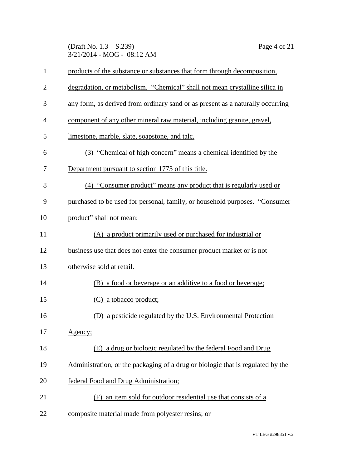(Draft No. 1.3 – S.239) Page 4 of 21 3/21/2014 - MOG - 08:12 AM

| 1              | products of the substance or substances that form through decomposition,        |
|----------------|---------------------------------------------------------------------------------|
| $\overline{2}$ | degradation, or metabolism. "Chemical" shall not mean crystalline silica in     |
| 3              | any form, as derived from ordinary sand or as present as a naturally occurring  |
| 4              | component of any other mineral raw material, including granite, gravel,         |
| 5              | limestone, marble, slate, soapstone, and talc.                                  |
| 6              | (3) "Chemical of high concern" means a chemical identified by the               |
| 7              | Department pursuant to section 1773 of this title.                              |
| 8              | (4) "Consumer product" means any product that is regularly used or              |
| 9              | purchased to be used for personal, family, or household purposes. "Consumer"    |
| 10             | product" shall not mean:                                                        |
| 11             | (A) a product primarily used or purchased for industrial or                     |
| 12             | business use that does not enter the consumer product market or is not          |
| 13             | otherwise sold at retail.                                                       |
| 14             | (B) a food or beverage or an additive to a food or beverage;                    |
| 15             | (C) a tobacco product;                                                          |
| 16             | a pesticide regulated by the U.S. Environmental Protection<br>(D)               |
| 17             | Agency;                                                                         |
| 18             | (E) a drug or biologic regulated by the federal Food and Drug                   |
| 19             | Administration, or the packaging of a drug or biologic that is regulated by the |
| 20             | federal Food and Drug Administration;                                           |
| 21             | an item sold for outdoor residential use that consists of a<br>(F)              |
| 22             | composite material made from polyester resins; or                               |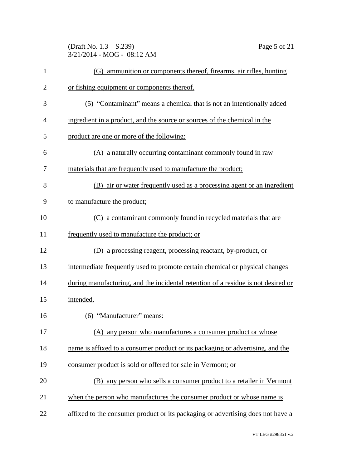(Draft No. 1.3 – S.239) Page 5 of 21 3/21/2014 - MOG - 08:12 AM

| $\mathbf{1}$   | (G) ammunition or components thereof, firearms, air rifles, hunting               |
|----------------|-----------------------------------------------------------------------------------|
| $\overline{2}$ | or fishing equipment or components thereof.                                       |
| 3              | (5) "Contaminant" means a chemical that is not an intentionally added             |
| 4              | ingredient in a product, and the source or sources of the chemical in the         |
| 5              | product are one or more of the following:                                         |
| 6              | (A) a naturally occurring contaminant commonly found in raw                       |
| 7              | materials that are frequently used to manufacture the product;                    |
| 8              | (B) air or water frequently used as a processing agent or an ingredient           |
| 9              | to manufacture the product;                                                       |
| 10             | (C) a contaminant commonly found in recycled materials that are                   |
| 11             | frequently used to manufacture the product; or                                    |
| 12             | (D) a processing reagent, processing reactant, by-product, or                     |
| 13             | intermediate frequently used to promote certain chemical or physical changes      |
| 14             | during manufacturing, and the incidental retention of a residue is not desired or |
| 15             | intended.                                                                         |
| 16             | (6) "Manufacturer" means:                                                         |
| 17             | (A) any person who manufactures a consumer product or whose                       |
| 18             | name is affixed to a consumer product or its packaging or advertising, and the    |
| 19             | consumer product is sold or offered for sale in Vermont; or                       |
| 20             | (B) any person who sells a consumer product to a retailer in Vermont              |
| 21             | when the person who manufactures the consumer product or whose name is            |
| 22             | affixed to the consumer product or its packaging or advertising does not have a   |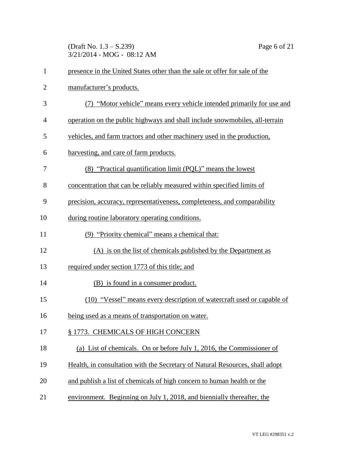(Draft No. 1.3 – S.239) Page 6 of 21 3/21/2014 - MOG - 08:12 AM

| $\mathbf{1}$   | presence in the United States other than the sale or offer for sale of the   |
|----------------|------------------------------------------------------------------------------|
| $\overline{2}$ | manufacturer's products.                                                     |
| 3              | (7) "Motor vehicle" means every vehicle intended primarily for use and       |
| 4              | operation on the public highways and shall include snowmobiles, all-terrain  |
| 5              | vehicles, and farm tractors and other machinery used in the production,      |
| 6              | harvesting, and care of farm products.                                       |
| 7              | (8) "Practical quantification limit (PQL)" means the lowest                  |
| 8              | concentration that can be reliably measured within specified limits of       |
| 9              | precision, accuracy, representativeness, completeness, and comparability     |
| 10             | during routine laboratory operating conditions.                              |
| 11             | (9) "Priority chemical" means a chemical that:                               |
| 12             | (A) is on the list of chemicals published by the Department as               |
| 13             | required under section 1773 of this title; and                               |
| 14             | (B) is found in a consumer product.                                          |
| 15             | (10) "Vessel" means every description of watercraft used or capable of       |
| 16             | being used as a means of transportation on water.                            |
| 17             | § 1773. CHEMICALS OF HIGH CONCERN                                            |
| 18             | (a) List of chemicals. On or before July 1, 2016, the Commissioner of        |
| 19             | Health, in consultation with the Secretary of Natural Resources, shall adopt |
| 20             | and publish a list of chemicals of high concern to human health or the       |
| 21             | environment. Beginning on July 1, 2018, and biennially thereafter, the       |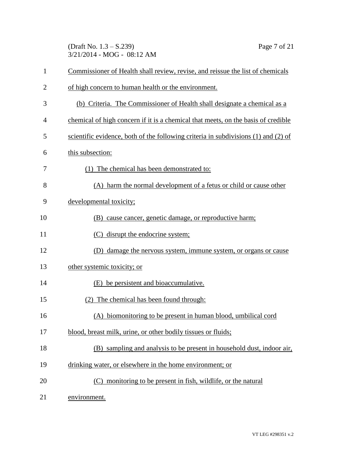(Draft No. 1.3 – S.239) Page 7 of 21 3/21/2014 - MOG - 08:12 AM

| $\mathbf{1}$ | Commissioner of Health shall review, revise, and reissue the list of chemicals     |
|--------------|------------------------------------------------------------------------------------|
| 2            | of high concern to human health or the environment.                                |
| 3            | (b) Criteria. The Commissioner of Health shall designate a chemical as a           |
| 4            | chemical of high concern if it is a chemical that meets, on the basis of credible  |
| 5            | scientific evidence, both of the following criteria in subdivisions (1) and (2) of |
| 6            | this subsection:                                                                   |
| 7            | (1) The chemical has been demonstrated to:                                         |
| 8            | (A) harm the normal development of a fetus or child or cause other                 |
| 9            | developmental toxicity;                                                            |
| 10           | (B) cause cancer, genetic damage, or reproductive harm;                            |
| 11           | (C) disrupt the endocrine system;                                                  |
| 12           | (D) damage the nervous system, immune system, or organs or cause                   |
| 13           | other systemic toxicity; or                                                        |
| 14           | (E) be persistent and bioaccumulative.                                             |
| 15           | (2) The chemical has been found through:                                           |
| 16           | (A) biomonitoring to be present in human blood, umbilical cord                     |
| 17           | blood, breast milk, urine, or other bodily tissues or fluids;                      |
| 18           | (B) sampling and analysis to be present in household dust, indoor air,             |
| 19           | drinking water, or elsewhere in the home environment; or                           |
| 20           | (C) monitoring to be present in fish, wildlife, or the natural                     |
| 21           | environment.                                                                       |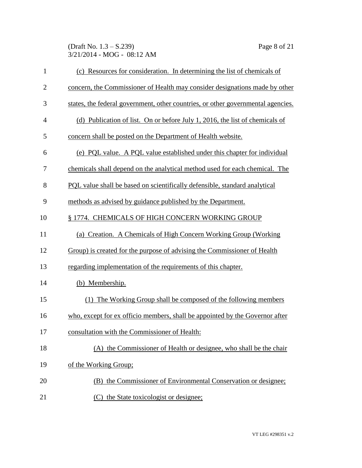(Draft No. 1.3 – S.239) Page 8 of 21 3/21/2014 - MOG - 08:12 AM

| $\mathbf{1}$   | (c) Resources for consideration. In determining the list of chemicals of         |
|----------------|----------------------------------------------------------------------------------|
| $\overline{2}$ | concern, the Commissioner of Health may consider designations made by other      |
| 3              | states, the federal government, other countries, or other governmental agencies. |
| $\overline{4}$ | (d) Publication of list. On or before July 1, 2016, the list of chemicals of     |
| 5              | concern shall be posted on the Department of Health website.                     |
| 6              | (e) PQL value. A PQL value established under this chapter for individual         |
| 7              | chemicals shall depend on the analytical method used for each chemical. The      |
| 8              | PQL value shall be based on scientifically defensible, standard analytical       |
| 9              | methods as advised by guidance published by the Department.                      |
| 10             | § 1774. CHEMICALS OF HIGH CONCERN WORKING GROUP                                  |
| 11             | (a) Creation. A Chemicals of High Concern Working Group (Working                 |
| 12             | Group) is created for the purpose of advising the Commissioner of Health         |
| 13             | regarding implementation of the requirements of this chapter.                    |
| 14             | (b) Membership.                                                                  |
| 15             | (1) The Working Group shall be composed of the following members                 |
| 16             | who, except for ex officio members, shall be appointed by the Governor after     |
| 17             | consultation with the Commissioner of Health:                                    |
| 18             | (A) the Commissioner of Health or designee, who shall be the chair               |
| 19             | of the Working Group;                                                            |
| 20             | (B) the Commissioner of Environmental Conservation or designee;                  |
| 21             | (C) the State toxicologist or designee;                                          |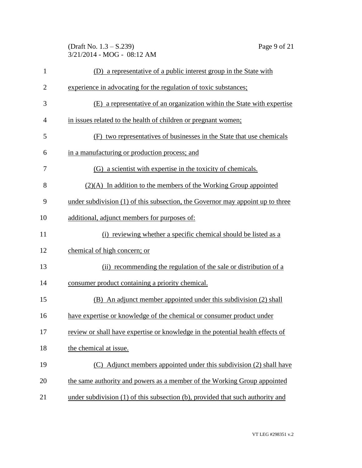(Draft No. 1.3 – S.239) Page 9 of 21 3/21/2014 - MOG - 08:12 AM

| $\mathbf{1}$   | (D) a representative of a public interest group in the State with              |
|----------------|--------------------------------------------------------------------------------|
| $\overline{c}$ | experience in advocating for the regulation of toxic substances;               |
| 3              | (E) a representative of an organization within the State with expertise        |
| 4              | in issues related to the health of children or pregnant women;                 |
| 5              | (F) two representatives of businesses in the State that use chemicals          |
| 6              | in a manufacturing or production process; and                                  |
| 7              | (G) a scientist with expertise in the toxicity of chemicals.                   |
| 8              | $(2)(A)$ In addition to the members of the Working Group appointed             |
| 9              | under subdivision (1) of this subsection, the Governor may appoint up to three |
| 10             | additional, adjunct members for purposes of:                                   |
| 11             | (i) reviewing whether a specific chemical should be listed as a                |
| 12             | chemical of high concern; or                                                   |
| 13             | (ii) recommending the regulation of the sale or distribution of a              |
| 14             | consumer product containing a priority chemical.                               |
| 15             | (B) An adjunct member appointed under this subdivision (2) shall               |
| 16             | have expertise or knowledge of the chemical or consumer product under          |
| 17             | review or shall have expertise or knowledge in the potential health effects of |
| 18             | the chemical at issue.                                                         |
| 19             | (C) Adjunct members appointed under this subdivision (2) shall have            |
| 20             | the same authority and powers as a member of the Working Group appointed       |
| 21             | under subdivision (1) of this subsection (b), provided that such authority and |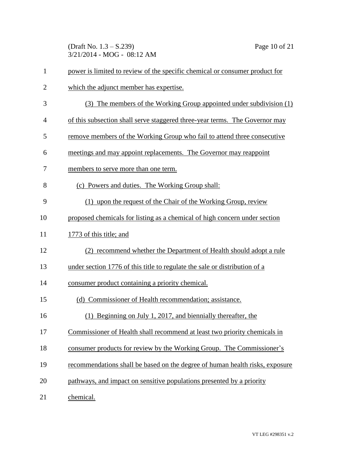(Draft No. 1.3 – S.239) Page 10 of 21 3/21/2014 - MOG - 08:12 AM

| $\mathbf{1}$   | power is limited to review of the specific chemical or consumer product for  |
|----------------|------------------------------------------------------------------------------|
| $\overline{2}$ | which the adjunct member has expertise.                                      |
| 3              | (3) The members of the Working Group appointed under subdivision (1)         |
| $\overline{4}$ | of this subsection shall serve staggered three-year terms. The Governor may  |
| 5              | remove members of the Working Group who fail to attend three consecutive     |
| 6              | meetings and may appoint replacements. The Governor may reappoint            |
| 7              | members to serve more than one term.                                         |
| 8              | (c) Powers and duties. The Working Group shall:                              |
| 9              | (1) upon the request of the Chair of the Working Group, review               |
| 10             | proposed chemicals for listing as a chemical of high concern under section   |
| 11             | 1773 of this title; and                                                      |
| 12             | (2) recommend whether the Department of Health should adopt a rule           |
| 13             | under section 1776 of this title to regulate the sale or distribution of a   |
| 14             | consumer product containing a priority chemical.                             |
| 15             | (d) Commissioner of Health recommendation; assistance.                       |
| 16             | (1) Beginning on July 1, 2017, and biennially thereafter, the                |
| 17             | Commissioner of Health shall recommend at least two priority chemicals in    |
| 18             | consumer products for review by the Working Group. The Commissioner's        |
| 19             | recommendations shall be based on the degree of human health risks, exposure |
| 20             | pathways, and impact on sensitive populations presented by a priority        |
| 21             | chemical.                                                                    |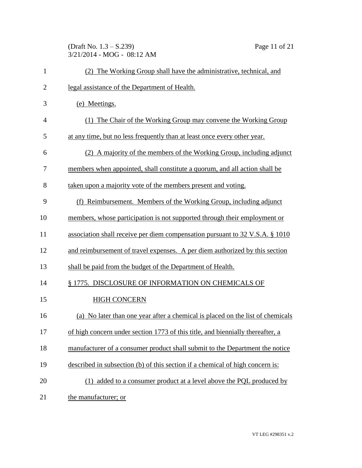(Draft No. 1.3 – S.239) Page 11 of 21 3/21/2014 - MOG - 08:12 AM

| $\mathbf{1}$   | (2) The Working Group shall have the administrative, technical, and            |
|----------------|--------------------------------------------------------------------------------|
| $\overline{2}$ | legal assistance of the Department of Health.                                  |
| 3              | (e) Meetings.                                                                  |
| 4              | (1) The Chair of the Working Group may convene the Working Group               |
| 5              | at any time, but no less frequently than at least once every other year.       |
| 6              | (2) A majority of the members of the Working Group, including adjunct          |
| 7              | members when appointed, shall constitute a quorum, and all action shall be     |
| 8              | taken upon a majority vote of the members present and voting.                  |
| 9              | (f) Reimbursement. Members of the Working Group, including adjunct             |
| 10             | members, whose participation is not supported through their employment or      |
| 11             | association shall receive per diem compensation pursuant to 32 V.S.A. § 1010   |
| 12             | and reimbursement of travel expenses. A per diem authorized by this section    |
| 13             | shall be paid from the budget of the Department of Health.                     |
| 14             | § 1775. DISCLOSURE OF INFORMATION ON CHEMICALS OF                              |
| 15             | <b>HIGH CONCERN</b>                                                            |
| 16             | (a) No later than one year after a chemical is placed on the list of chemicals |
| 17             | of high concern under section 1773 of this title, and biennially thereafter, a |
| 18             | manufacturer of a consumer product shall submit to the Department the notice   |
| 19             | described in subsection (b) of this section if a chemical of high concern is:  |
| 20             | (1) added to a consumer product at a level above the PQL produced by           |
| 21             | the manufacturer; or                                                           |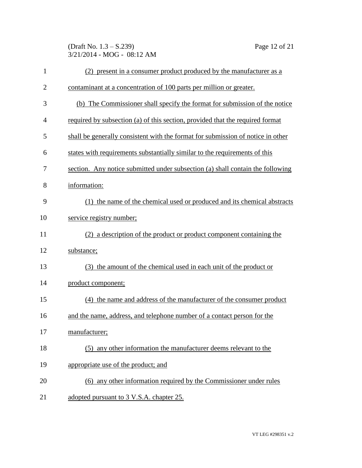(Draft No. 1.3 – S.239) Page 12 of 21 3/21/2014 - MOG - 08:12 AM

| $\mathbf{1}$   | (2) present in a consumer product produced by the manufacturer as a             |
|----------------|---------------------------------------------------------------------------------|
| $\overline{2}$ | contaminant at a concentration of 100 parts per million or greater.             |
| 3              | (b) The Commissioner shall specify the format for submission of the notice      |
| $\overline{4}$ | required by subsection (a) of this section, provided that the required format   |
| 5              | shall be generally consistent with the format for submission of notice in other |
| 6              | states with requirements substantially similar to the requirements of this      |
| 7              | section. Any notice submitted under subsection (a) shall contain the following  |
| 8              | information:                                                                    |
| 9              | (1) the name of the chemical used or produced and its chemical abstracts        |
| 10             | service registry number;                                                        |
| 11             | (2) a description of the product or product component containing the            |
| 12             | substance;                                                                      |
| 13             | (3) the amount of the chemical used in each unit of the product or              |
| 14             | product component;                                                              |
| 15             | (4) the name and address of the manufacturer of the consumer product            |
| 16             | and the name, address, and telephone number of a contact person for the         |
| 17             | manufacturer;                                                                   |
| 18             | (5) any other information the manufacturer deems relevant to the                |
| 19             | appropriate use of the product; and                                             |
| 20             | (6) any other information required by the Commissioner under rules              |
| 21             | adopted pursuant to 3 V.S.A. chapter 25.                                        |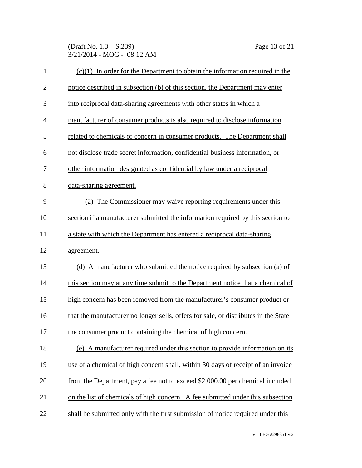(Draft No. 1.3 – S.239) Page 13 of 21 3/21/2014 - MOG - 08:12 AM

| $\mathbf{1}$   | $(c)(1)$ In order for the Department to obtain the information required in the      |
|----------------|-------------------------------------------------------------------------------------|
| $\overline{2}$ | notice described in subsection (b) of this section, the Department may enter        |
| 3              | into reciprocal data-sharing agreements with other states in which a                |
| $\overline{4}$ | manufacturer of consumer products is also required to disclose information          |
| 5              | related to chemicals of concern in consumer products. The Department shall          |
| 6              | not disclose trade secret information, confidential business information, or        |
| 7              | other information designated as confidential by law under a reciprocal              |
| 8              | data-sharing agreement.                                                             |
| 9              | (2) The Commissioner may waive reporting requirements under this                    |
| 10             | section if a manufacturer submitted the information required by this section to     |
| 11             | a state with which the Department has entered a reciprocal data-sharing             |
| 12             | agreement.                                                                          |
| 13             | (d) A manufacturer who submitted the notice required by subsection (a) of           |
| 14             | this section may at any time submit to the Department notice that a chemical of     |
| 15             | high concern has been removed from the manufacturer's consumer product or           |
| 16             | that the manufacturer no longer sells, offers for sale, or distributes in the State |
| 17             | the consumer product containing the chemical of high concern.                       |
| 18             | (e) A manufacturer required under this section to provide information on its        |
| 19             | use of a chemical of high concern shall, within 30 days of receipt of an invoice    |
| 20             | from the Department, pay a fee not to exceed \$2,000.00 per chemical included       |
| 21             | on the list of chemicals of high concern. A fee submitted under this subsection     |
| 22             | shall be submitted only with the first submission of notice required under this     |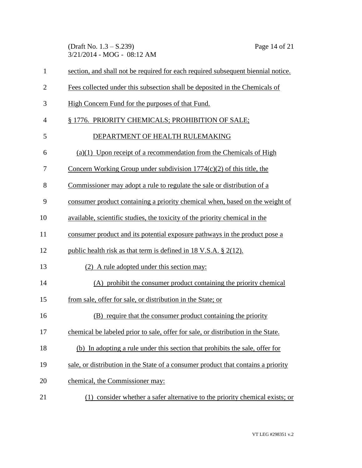(Draft No. 1.3 – S.239) Page 14 of 21 3/21/2014 - MOG - 08:12 AM

| $\mathbf{1}$   | section, and shall not be required for each required subsequent biennial notice.  |  |  |  |
|----------------|-----------------------------------------------------------------------------------|--|--|--|
| $\overline{2}$ | Fees collected under this subsection shall be deposited in the Chemicals of       |  |  |  |
| 3              | High Concern Fund for the purposes of that Fund.                                  |  |  |  |
| $\overline{4}$ | § 1776. PRIORITY CHEMICALS; PROHIBITION OF SALE;                                  |  |  |  |
| 5              | DEPARTMENT OF HEALTH RULEMAKING                                                   |  |  |  |
| 6              | $(a)(1)$ Upon receipt of a recommendation from the Chemicals of High              |  |  |  |
| 7              | Concern Working Group under subdivision 1774(c)(2) of this title, the             |  |  |  |
| 8              | Commissioner may adopt a rule to regulate the sale or distribution of a           |  |  |  |
| 9              | consumer product containing a priority chemical when, based on the weight of      |  |  |  |
| 10             | available, scientific studies, the toxicity of the priority chemical in the       |  |  |  |
| 11             | consumer product and its potential exposure pathways in the product pose a        |  |  |  |
| 12             | public health risk as that term is defined in $18 \text{ V.S.A.}$ \$ $2(12)$ .    |  |  |  |
| 13             | (2) A rule adopted under this section may:                                        |  |  |  |
| 14             | (A) prohibit the consumer product containing the priority chemical                |  |  |  |
| 15             | from sale, offer for sale, or distribution in the State; or                       |  |  |  |
| 16             | (B) require that the consumer product containing the priority                     |  |  |  |
| 17             | chemical be labeled prior to sale, offer for sale, or distribution in the State.  |  |  |  |
| 18             | (b) In adopting a rule under this section that prohibits the sale, offer for      |  |  |  |
| 19             | sale, or distribution in the State of a consumer product that contains a priority |  |  |  |
| 20             | chemical, the Commissioner may:                                                   |  |  |  |
| 21             | (1) consider whether a safer alternative to the priority chemical exists; or      |  |  |  |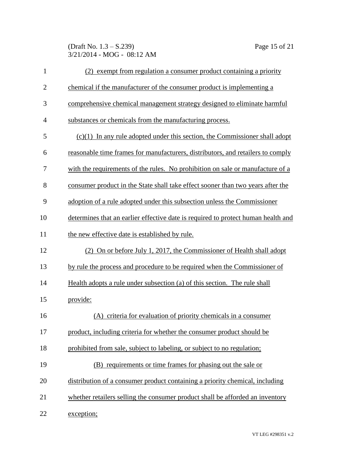(Draft No. 1.3 – S.239) Page 15 of 21 3/21/2014 - MOG - 08:12 AM

| $\mathbf{1}$   | (2) exempt from regulation a consumer product containing a priority               |
|----------------|-----------------------------------------------------------------------------------|
| $\overline{2}$ | chemical if the manufacturer of the consumer product is implementing a            |
| 3              | comprehensive chemical management strategy designed to eliminate harmful          |
| $\overline{4}$ | substances or chemicals from the manufacturing process.                           |
| 5              | $(c)(1)$ In any rule adopted under this section, the Commissioner shall adopt     |
| 6              | reasonable time frames for manufacturers, distributors, and retailers to comply   |
| 7              | with the requirements of the rules. No prohibition on sale or manufacture of a    |
| 8              | consumer product in the State shall take effect sooner than two years after the   |
| 9              | adoption of a rule adopted under this subsection unless the Commissioner          |
| 10             | determines that an earlier effective date is required to protect human health and |
| 11             | the new effective date is established by rule.                                    |
| 12             | (2) On or before July 1, 2017, the Commissioner of Health shall adopt             |
| 13             | by rule the process and procedure to be required when the Commissioner of         |
| 14             | Health adopts a rule under subsection (a) of this section. The rule shall         |
| 15             | provide:                                                                          |
| 16             | (A) criteria for evaluation of priority chemicals in a consumer                   |
| 17             | product, including criteria for whether the consumer product should be            |
| 18             | prohibited from sale, subject to labeling, or subject to no regulation;           |
| 19             | (B) requirements or time frames for phasing out the sale or                       |
| 20             | distribution of a consumer product containing a priority chemical, including      |
| 21             | whether retailers selling the consumer product shall be afforded an inventory     |
| 22             | exception;                                                                        |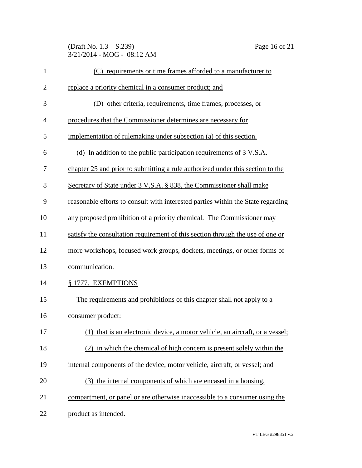(Draft No. 1.3 – S.239) Page 16 of 21 3/21/2014 - MOG - 08:12 AM

| $\mathbf{1}$   | (C) requirements or time frames afforded to a manufacturer to                    |
|----------------|----------------------------------------------------------------------------------|
| $\overline{2}$ | replace a priority chemical in a consumer product; and                           |
| 3              | (D) other criteria, requirements, time frames, processes, or                     |
| 4              | procedures that the Commissioner determines are necessary for                    |
| 5              | implementation of rulemaking under subsection (a) of this section.               |
| 6              | (d) In addition to the public participation requirements of $3 \text{ V.S.A.}$   |
| 7              | chapter 25 and prior to submitting a rule authorized under this section to the   |
| 8              | Secretary of State under 3 V.S.A. § 838, the Commissioner shall make             |
| 9              | reasonable efforts to consult with interested parties within the State regarding |
| 10             | any proposed prohibition of a priority chemical. The Commissioner may            |
| 11             | satisfy the consultation requirement of this section through the use of one or   |
| 12             | more workshops, focused work groups, dockets, meetings, or other forms of        |
| 13             | communication.                                                                   |
| 14             | § 1777. EXEMPTIONS                                                               |
| 15             | The requirements and prohibitions of this chapter shall not apply to a           |
| 16             | consumer product:                                                                |
| 17             | (1) that is an electronic device, a motor vehicle, an aircraft, or a vessel;     |
| 18             | (2) in which the chemical of high concern is present solely within the           |
| 19             | internal components of the device, motor vehicle, aircraft, or vessel; and       |
| 20             | (3) the internal components of which are encased in a housing,                   |
| 21             | compartment, or panel or are otherwise inaccessible to a consumer using the      |
| 22             | product as intended.                                                             |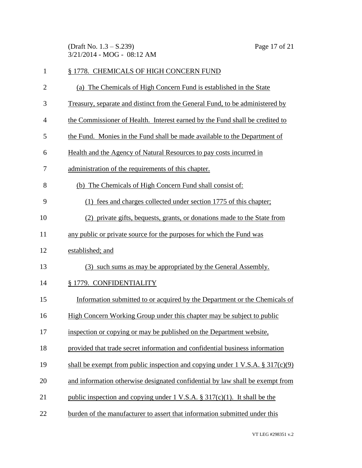(Draft No. 1.3 – S.239) Page 17 of 21 3/21/2014 - MOG - 08:12 AM

| $\mathbf{1}$   | § 1778. CHEMICALS OF HIGH CONCERN FUND                                                   |
|----------------|------------------------------------------------------------------------------------------|
| $\overline{2}$ | (a) The Chemicals of High Concern Fund is established in the State                       |
| 3              | Treasury, separate and distinct from the General Fund, to be administered by             |
| $\overline{4}$ | the Commissioner of Health. Interest earned by the Fund shall be credited to             |
| 5              | the Fund. Monies in the Fund shall be made available to the Department of                |
| 6              | Health and the Agency of Natural Resources to pay costs incurred in                      |
| 7              | administration of the requirements of this chapter.                                      |
| 8              | (b) The Chemicals of High Concern Fund shall consist of:                                 |
| 9              | (1) fees and charges collected under section 1775 of this chapter;                       |
| 10             | (2) private gifts, bequests, grants, or donations made to the State from                 |
| 11             | any public or private source for the purposes for which the Fund was                     |
| 12             | established; and                                                                         |
| 13             | (3) such sums as may be appropriated by the General Assembly.                            |
| 14             | § 1779. CONFIDENTIALITY                                                                  |
| 15             | Information submitted to or acquired by the Department or the Chemicals of               |
| 16             | High Concern Working Group under this chapter may be subject to public                   |
| 17             | inspection or copying or may be published on the Department website,                     |
| 18             | provided that trade secret information and confidential business information             |
| 19             | shall be exempt from public inspection and copying under $1 \text{ V.S.A. } § 317(c)(9)$ |
| 20             | and information otherwise designated confidential by law shall be exempt from            |
| 21             | public inspection and copying under 1 V.S.A. $\S 317(c)(1)$ . It shall be the            |
| 22             | burden of the manufacturer to assert that information submitted under this               |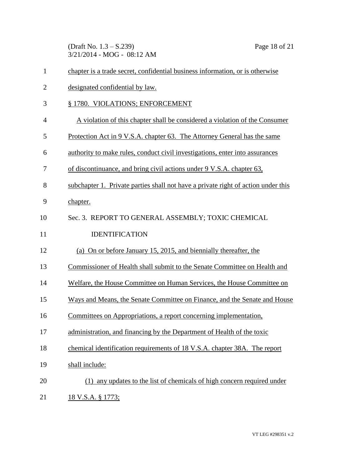(Draft No. 1.3 – S.239) Page 18 of 21 3/21/2014 - MOG - 08:12 AM

| $\mathbf{1}$   | chapter is a trade secret, confidential business information, or is otherwise     |
|----------------|-----------------------------------------------------------------------------------|
| $\overline{2}$ | designated confidential by law.                                                   |
| 3              | § 1780. VIOLATIONS; ENFORCEMENT                                                   |
| 4              | A violation of this chapter shall be considered a violation of the Consumer       |
| 5              | <u>Protection Act in 9 V.S.A. chapter 63. The Attorney General has the same</u>   |
| 6              | authority to make rules, conduct civil investigations, enter into assurances      |
| 7              | of discontinuance, and bring civil actions under 9 V.S.A. chapter 63,             |
| 8              | subchapter 1. Private parties shall not have a private right of action under this |
| 9              | chapter.                                                                          |
| 10             | Sec. 3. REPORT TO GENERAL ASSEMBLY; TOXIC CHEMICAL                                |
| 11             | <b>IDENTIFICATION</b>                                                             |
| 12             | (a) On or before January 15, 2015, and biennially thereafter, the                 |
| 13             | Commissioner of Health shall submit to the Senate Committee on Health and         |
| 14             | Welfare, the House Committee on Human Services, the House Committee on            |
| 15             | Ways and Means, the Senate Committee on Finance, and the Senate and House         |
| 16             | Committees on Appropriations, a report concerning implementation,                 |
| 17             | administration, and financing by the Department of Health of the toxic            |
| 18             | chemical identification requirements of 18 V.S.A. chapter 38A. The report         |
| 19             | shall include:                                                                    |
| 20             | (1) any updates to the list of chemicals of high concern required under           |
| 21             | 18 V.S.A. § 1773;                                                                 |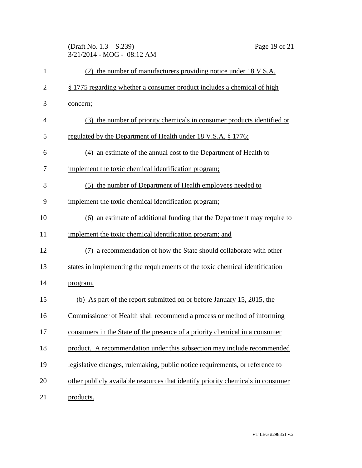(Draft No. 1.3 – S.239) Page 19 of 21 3/21/2014 - MOG - 08:12 AM

| $\mathbf{1}$   | (2) the number of manufacturers providing notice under 18 V.S.A.                |
|----------------|---------------------------------------------------------------------------------|
| $\overline{2}$ | § 1775 regarding whether a consumer product includes a chemical of high         |
| 3              | concern;                                                                        |
| $\overline{4}$ | (3) the number of priority chemicals in consumer products identified or         |
| 5              | regulated by the Department of Health under 18 V.S.A. § 1776;                   |
| 6              | (4) an estimate of the annual cost to the Department of Health to               |
| 7              | implement the toxic chemical identification program;                            |
| 8              | (5) the number of Department of Health employees needed to                      |
| 9              | implement the toxic chemical identification program;                            |
| 10             | (6) an estimate of additional funding that the Department may require to        |
| 11             | implement the toxic chemical identification program; and                        |
| 12             | (7) a recommendation of how the State should collaborate with other             |
| 13             | states in implementing the requirements of the toxic chemical identification    |
| 14             | program.                                                                        |
| 15             | (b) As part of the report submitted on or before January 15, 2015, the          |
| 16             | Commissioner of Health shall recommend a process or method of informing         |
| 17             | consumers in the State of the presence of a priority chemical in a consumer     |
| 18             | product. A recommendation under this subsection may include recommended         |
| 19             | legislative changes, rulemaking, public notice requirements, or reference to    |
| 20             | other publicly available resources that identify priority chemicals in consumer |
| 21             | products.                                                                       |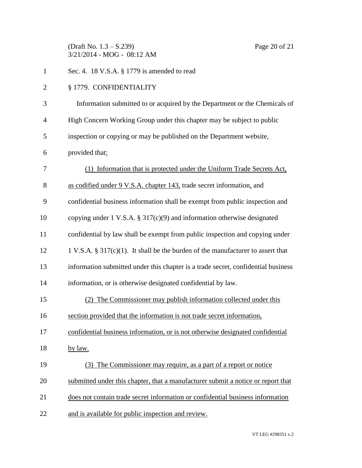(Draft No. 1.3 – S.239) Page 20 of 21 3/21/2014 - MOG - 08:12 AM

| $\mathbf{1}$   | Sec. 4. 18 V.S.A. § 1779 is amended to read                                         |
|----------------|-------------------------------------------------------------------------------------|
| $\overline{2}$ | § 1779. CONFIDENTIALITY                                                             |
| 3              | Information submitted to or acquired by the Department or the Chemicals of          |
| $\overline{4}$ | High Concern Working Group under this chapter may be subject to public              |
| 5              | inspection or copying or may be published on the Department website,                |
| 6              | provided that:                                                                      |
| 7              | (1) Information that is protected under the Uniform Trade Secrets Act,              |
| 8              | as codified under 9 V.S.A. chapter 143, trade secret information, and               |
| 9              | confidential business information shall be exempt from public inspection and        |
| 10             | copying under 1 V.S.A. $\S 317(c)(9)$ and information otherwise designated          |
| 11             | confidential by law shall be exempt from public inspection and copying under        |
| 12             | 1 V.S.A. § 317 $(c)(1)$ . It shall be the burden of the manufacturer to assert that |
| 13             | information submitted under this chapter is a trade secret, confidential business   |
| 14             | information, or is otherwise designated confidential by law.                        |
| 15             | (2) The Commissioner may publish information collected under this                   |
| 16             | section provided that the information is not trade secret information,              |
| 17             | confidential business information, or is not otherwise designated confidential      |
| 18             | by law.                                                                             |
| 19             | (3) The Commissioner may require, as a part of a report or notice                   |
| 20             | submitted under this chapter, that a manufacturer submit a notice or report that    |
| 21             | does not contain trade secret information or confidential business information      |
| 22             | and is available for public inspection and review.                                  |
|                |                                                                                     |